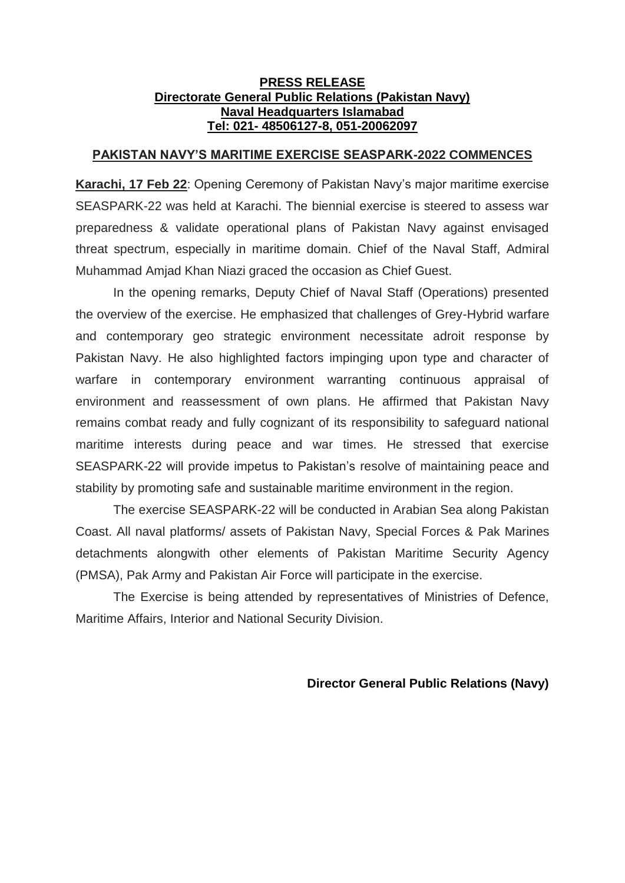## **PRESS RELEASE Directorate General Public Relations (Pakistan Navy) Naval Headquarters Islamabad Tel: 021- 48506127-8, 051-20062097**

## **PAKISTAN NAVY'S MARITIME EXERCISE SEASPARK-2022 COMMENCES**

**Karachi, 17 Feb 22**: Opening Ceremony of Pakistan Navy's major maritime exercise SEASPARK-22 was held at Karachi. The biennial exercise is steered to assess war preparedness & validate operational plans of Pakistan Navy against envisaged threat spectrum, especially in maritime domain. Chief of the Naval Staff, Admiral Muhammad Amjad Khan Niazi graced the occasion as Chief Guest.

In the opening remarks, Deputy Chief of Naval Staff (Operations) presented the overview of the exercise. He emphasized that challenges of Grey-Hybrid warfare and contemporary geo strategic environment necessitate adroit response by Pakistan Navy. He also highlighted factors impinging upon type and character of warfare in contemporary environment warranting continuous appraisal of environment and reassessment of own plans. He affirmed that Pakistan Navy remains combat ready and fully cognizant of its responsibility to safeguard national maritime interests during peace and war times. He stressed that exercise SEASPARK-22 will provide impetus to Pakistan's resolve of maintaining peace and stability by promoting safe and sustainable maritime environment in the region.

The exercise SEASPARK-22 will be conducted in Arabian Sea along Pakistan Coast. All naval platforms/ assets of Pakistan Navy, Special Forces & Pak Marines detachments alongwith other elements of Pakistan Maritime Security Agency (PMSA), Pak Army and Pakistan Air Force will participate in the exercise.

The Exercise is being attended by representatives of Ministries of Defence, Maritime Affairs, Interior and National Security Division.

## **Director General Public Relations (Navy)**